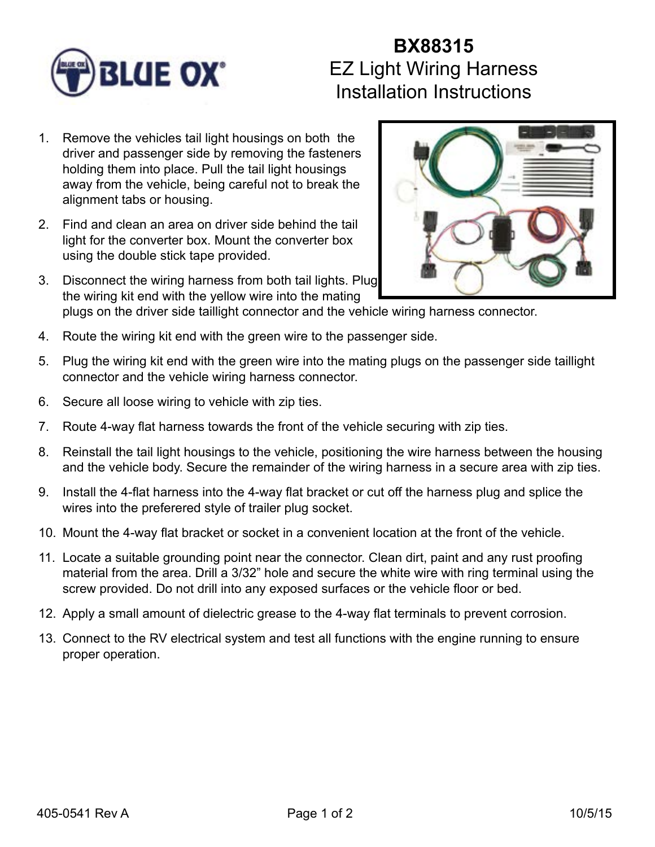

## **BX88315** EZ Light Wiring Harness Installation Instructions

- 1. Remove the vehicles tail light housings on both the driver and passenger side by removing the fasteners holding them into place. Pull the tail light housings away from the vehicle, being careful not to break the alignment tabs or housing.
- 2. Find and clean an area on driver side behind the tail light for the converter box. Mount the converter box using the double stick tape provided.
- 3. Disconnect the wiring harness from both tail lights. Plug the wiring kit end with the yellow wire into the mating



- plugs on the driver side taillight connector and the vehicle wiring harness connector.
- 4. Route the wiring kit end with the green wire to the passenger side.
- 5. Plug the wiring kit end with the green wire into the mating plugs on the passenger side taillight connector and the vehicle wiring harness connector.
- 6. Secure all loose wiring to vehicle with zip ties.
- 7. Route 4-way flat harness towards the front of the vehicle securing with zip ties.
- 8. Reinstall the tail light housings to the vehicle, positioning the wire harness between the housing and the vehicle body. Secure the remainder of the wiring harness in a secure area with zip ties.
- 9. Install the 4-flat harness into the 4-way flat bracket or cut off the harness plug and splice the wires into the preferered style of trailer plug socket.
- 10. Mount the 4-way flat bracket or socket in a convenient location at the front of the vehicle.
- 11. Locate a suitable grounding point near the connector. Clean dirt, paint and any rust proofing material from the area. Drill a 3/32" hole and secure the white wire with ring terminal using the screw provided. Do not drill into any exposed surfaces or the vehicle floor or bed.
- 12. Apply a small amount of dielectric grease to the 4-way flat terminals to prevent corrosion.
- 13. Connect to the RV electrical system and test all functions with the engine running to ensure proper operation.